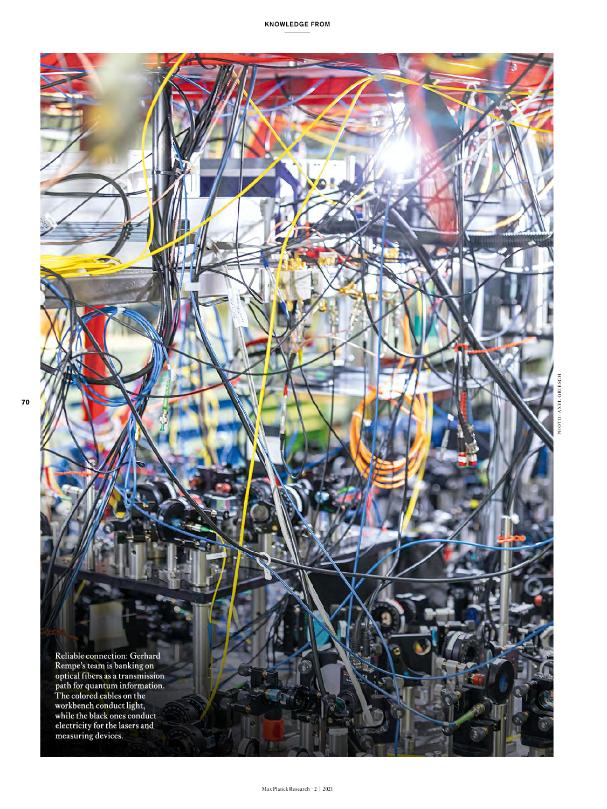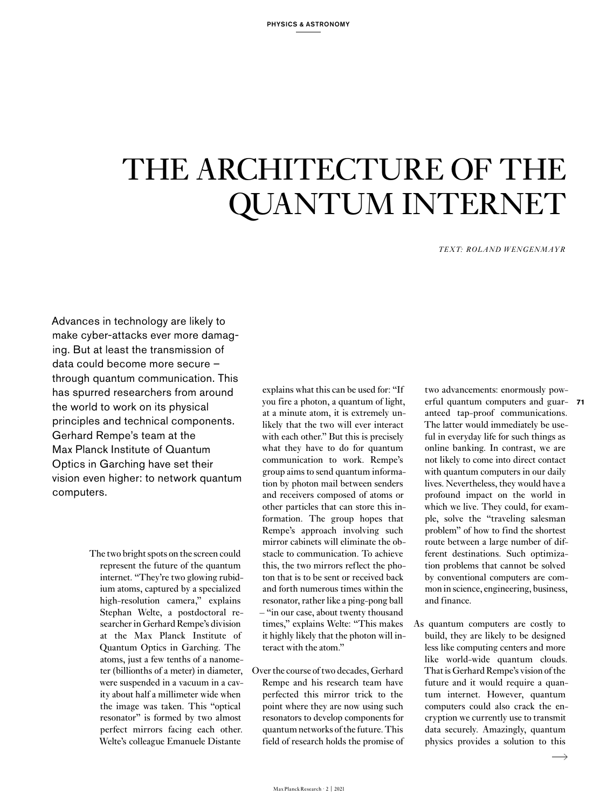# THE ARCHITECTURE OF THE QUANTUM INTERNET

*TEXT: ROLAND WENGENMAYR*

Advances in technology are likely to make cyber-attacks ever more damaging. But at least the transmission of data could become more secure – through quantum communication. This has spurred researchers from around the world to work on its physical principles and technical components. Gerhard Rempe's team at the Max Planck Institute of Quantum Optics in Garching have set their vision even higher: to network quantum computers.

> The two bright spots on the screen could represent the future of the quantum internet. "They're two glowing rubidium atoms, captured by a specialized high-resolution camera," explains Stephan Welte, a postdoctoral researcher in Gerhard Rempe's division at the Max Planck Institute of Quantum Optics in Garching. The atoms, just a few tenths of a nanometer (billionths of a meter) in diameter, were suspended in a vacuum in a cavity about half a millimeter wide when the image was taken. This "optical resonator" is formed by two almost perfect mirrors facing each other. Welte's colleague Emanuele Distante

explains what this can be used for: "If you fire a photon, a quantum of light, at a minute atom, it is extremely unlikely that the two will ever interact with each other." But this is precisely what they have to do for quantum communication to work. Rempe's group aims to send quantum information by photon mail between senders and receivers composed of atoms or other particles that can store this information. The group hopes that Rempe's approach involving such mirror cabinets will eliminate the obstacle to communication. To achieve this, the two mirrors reflect the photon that is to be sent or received back and forth numerous times within the resonator, rather like a ping-pong ball – "in our case, about twenty thousand times," explains Welte: "This makes it highly likely that the photon will interact with the atom."

Over the course of two decades, Gerhard Rempe and his research team have perfected this mirror trick to the point where they are now using such resonators to develop components for quantum networks of the future. This field of research holds the promise of two advancements: enormously powerful quantum computers and guar-**71** anteed tap-proof communications. The latter would immediately be useful in everyday life for such things as online banking. In contrast, we are not likely to come into direct contact with quantum computers in our daily lives. Nevertheless, they would have a profound impact on the world in which we live. They could, for example, solve the "traveling salesman problem" of how to find the shortest route between a large number of different destinations. Such optimization problems that cannot be solved by conventional computers are common in science, engineering, business, and finance.

As quantum computers are costly to build, they are likely to be designed less like computing centers and more like world-wide quantum clouds. That is Gerhard Rempe's vision of the future and it would require a quantum internet. However, quantum computers could also crack the encryption we currently use to transmit data securely. Amazingly, quantum physics provides a solution to this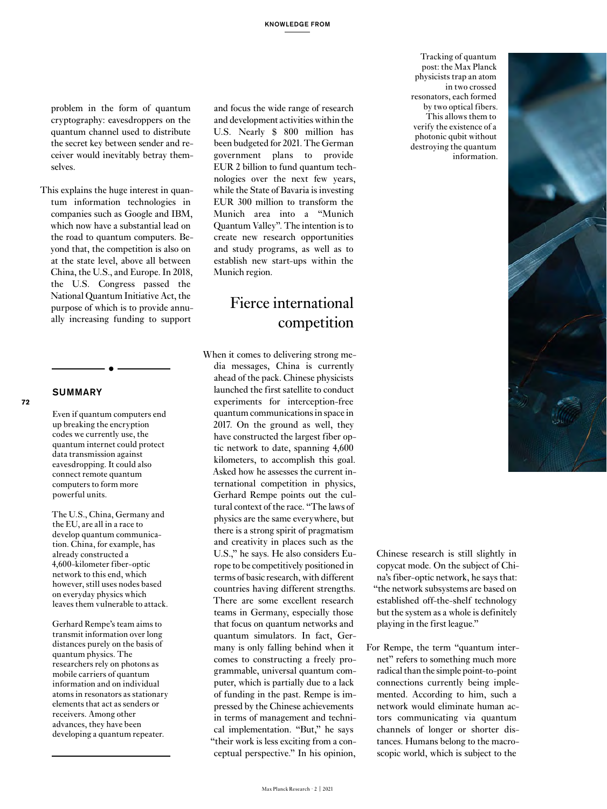problem in the form of quantum cryptography: eavesdroppers on the quantum channel used to distribute the secret key between sender and receiver would inevitably betray themselves.

This explains the huge interest in quantum information technologies in companies such as Google and IBM, which now have a substantial lead on the road to quantum computers. Beyond that, the competition is also on at the state level, above all between China, the U.S., and Europe. In 2018, the U.S. Congress passed the National Quantum Initiative Act, the purpose of which is to provide annually increasing funding to support

### **SUMMARY**

**72**

Even if quantum computers end up breaking the encryption codes we currently use, the quantum internet could protect data transmission against eavesdropping. It could also connect remote quantum computers to form more powerful units.

The U.S., China, Germany and the EU, are all in a race to develop quantum communication. China, for example, has already constructed a 4,600-kilometer fiber-optic network to this end, which however, still uses nodes based on everyday physics which leaves them vulnerable to attack.

Gerhard Rempe's team aims to transmit information over long distances purely on the basis of quantum physics. The researchers rely on photons as mobile carriers of quantum information and on individual atoms in resonators as stationary elements that act as senders or receivers. Among other advances, they have been developing a quantum repeater.

and focus the wide range of research and development activities within the U.S. Nearly \$ 800 million has been budgeted for 2021. The German government plans to provide EUR 2 billion to fund quantum technologies over the next few years, while the State of Bavaria is investing EUR 300 million to transform the Munich area into a "Munich Quantum Valley". The intention is to create new research opportunities and study programs, as well as to establish new start-ups within the Munich region.

# Fierce international competition

When it comes to delivering strong media messages, China is currently ahead of the pack. Chinese physicists launched the first satellite to conduct experiments for interception-free quantum communications in space in 2017. On the ground as well, they have constructed the largest fiber optic network to date, spanning 4,600 kilometers, to accomplish this goal. Asked how he assesses the current international competition in physics, Gerhard Rempe points out the cultural context of the race. "The laws of physics are the same everywhere, but there is a strong spirit of pragmatism and creativity in places such as the U.S.," he says. He also considers Europe to be competitively positioned in terms of basic research, with different countries having different strengths. There are some excellent research teams in Germany, especially those that focus on quantum networks and quantum simulators. In fact, Germany is only falling behind when it comes to constructing a freely programmable, universal quantum computer, which is partially due to a lack of funding in the past. Rempe is impressed by the Chinese achievements in terms of management and technical implementation. "But," he says "their work is less exciting from a conceptual perspective." In his opinion,

Tracking of quantum post: the Max Planck physicists trap an atom in two crossed resonators, each formed by two optical fibers. This allows them to verify the existence of a photonic qubit without destroying the quantum information.



Chinese research is still slightly in copycat mode. On the subject of China's fiber-optic network, he says that: "the network subsystems are based on established off-the-shelf technology but the system as a whole is definitely playing in the first league."

For Rempe, the term "quantum internet" refers to something much more radical than the simple point-to-point connections currently being implemented. According to him, such a network would eliminate human actors communicating via quantum channels of longer or shorter distances. Humans belong to the macroscopic world, which is subject to the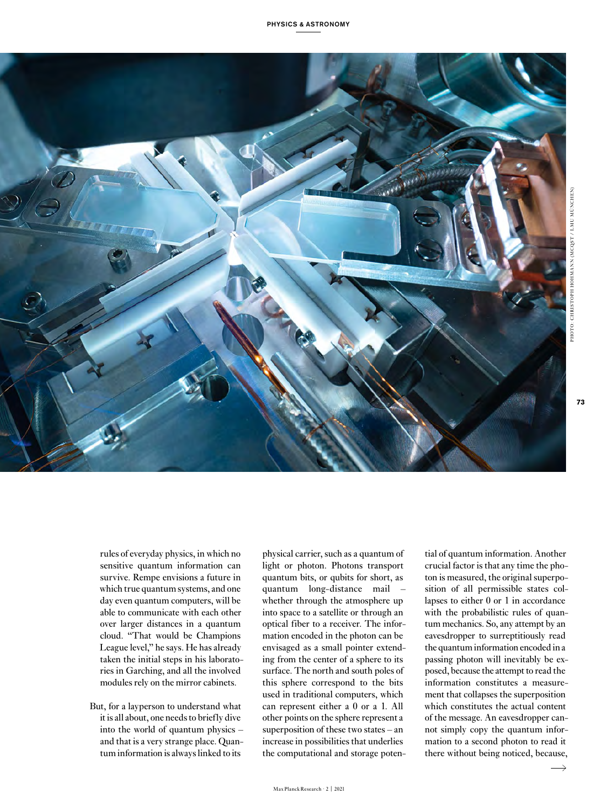

**73**

rules of everyday physics, in which no sensitive quantum information can survive. Rempe envisions a future in which true quantum systems, and one day even quantum computers, will be able to communicate with each other over larger distances in a quantum cloud. "That would be Champions League level," he says. He has already taken the initial steps in his laboratories in Garching, and all the involved modules rely on the mirror cabinets.

But, for a layperson to understand what it is all about, one needs to briefly dive into the world of quantum physics – and that is a very strange place. Quantum information is always linked to its

physical carrier, such as a quantum of light or photon. Photons transport quantum bits, or qubits for short, as quantum long-distance mail – whether through the atmosphere up into space to a satellite or through an optical fiber to a receiver. The information encoded in the photon can be envisaged as a small pointer extending from the center of a sphere to its surface. The north and south poles of this sphere correspond to the bits used in traditional computers, which can represent either a 0 or a 1. All other points on the sphere represent a superposition of these two states – an increase in possibilities that underlies the computational and storage potential of quantum information. Another crucial factor is that any time the photon is measured, the original superposition of all permissible states collapses to either 0 or 1 in accordance with the probabilistic rules of quantum mechanics. So, any attempt by an eavesdropper to surreptitiously read the quantum information encoded in a passing photon will inevitably be exposed, because the attempt to read the information constitutes a measurement that collapses the superposition which constitutes the actual content of the message. An eavesdropper cannot simply copy the quantum information to a second photon to read it there without being noticed, because,

 $\overline{\phantom{a}}$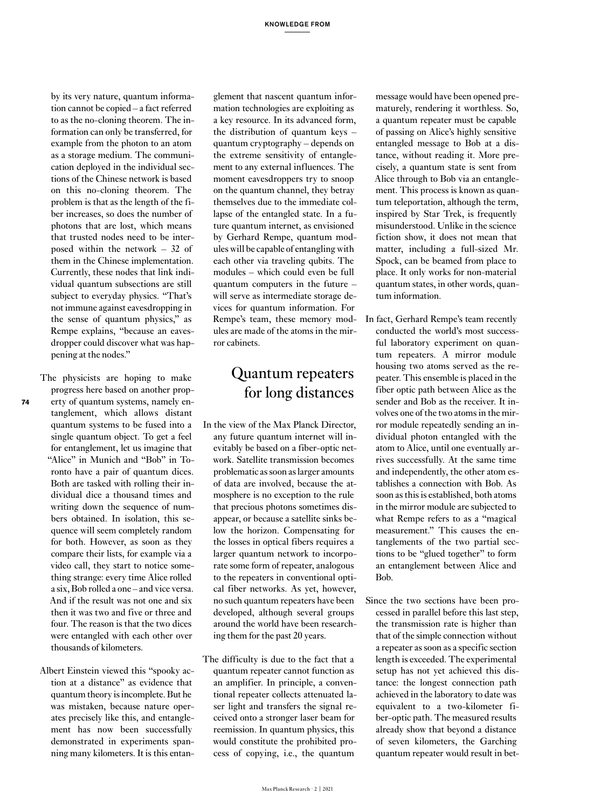by its very nature, quantum information cannot be copied – a fact referred to as the no-cloning theorem. The information can only be transferred, for example from the photon to an atom as a storage medium. The communication deployed in the individual sections of the Chinese network is based on this no-cloning theorem. The problem is that as the length of the fiber increases, so does the number of photons that are lost, which means that trusted nodes need to be interposed within the network – 32 of them in the Chinese implementation. Currently, these nodes that link individual quantum subsections are still subject to everyday physics. "That's not immune against eavesdropping in the sense of quantum physics," as Rempe explains, "because an eavesdropper could discover what was happening at the nodes."

- The physicists are hoping to make progress here based on another property of quantum systems, namely entanglement, which allows distant quantum systems to be fused into a single quantum object. To get a feel for entanglement, let us imagine that "Alice" in Munich and "Bob" in Toronto have a pair of quantum dices. Both are tasked with rolling their individual dice a thousand times and writing down the sequence of numbers obtained. In isolation, this sequence will seem completely random for both. However, as soon as they compare their lists, for example via a video call, they start to notice something strange: every time Alice rolled a six, Bob rolled a one – and vice versa. And if the result was not one and six then it was two and five or three and four. The reason is that the two dices were entangled with each other over thousands of kilometers.
- Albert Einstein viewed this "spooky action at a distance" as evidence that quantum theory is incomplete. But he was mistaken, because nature operates precisely like this, and entanglement has now been successfully demonstrated in experiments spanning many kilometers. It is this entan-

glement that nascent quantum information technologies are exploiting as a key resource. In its advanced form, the distribution of quantum keys – quantum cryptography – depends on the extreme sensitivity of entanglement to any external influences. The moment eavesdroppers try to snoop on the quantum channel, they betray themselves due to the immediate collapse of the entangled state. In a future quantum internet, as envisioned by Gerhard Rempe, quantum modules will be capable of entangling with each other via traveling qubits. The modules – which could even be full quantum computers in the future – will serve as intermediate storage devices for quantum information. For Rempe's team, these memory modules are made of the atoms in the mirror cabinets.

# Quantum repeaters for long distances

- In the view of the Max Planck Director, any future quantum internet will inevitably be based on a fiber-optic network. Satellite transmission becomes problematic as soon as larger amounts of data are involved, because the atmosphere is no exception to the rule that precious photons sometimes disappear, or because a satellite sinks below the horizon. Compensating for the losses in optical fibers requires a larger quantum network to incorporate some form of repeater, analogous to the repeaters in conventional optical fiber networks. As yet, however, no such quantum repeaters have been developed, although several groups around the world have been researching them for the past 20 years.
- The difficulty is due to the fact that a quantum repeater cannot function as an amplifier. In principle, a conventional repeater collects attenuated laser light and transfers the signal received onto a stronger laser beam for reemission. In quantum physics, this would constitute the prohibited process of copying, i.e., the quantum

message would have been opened prematurely, rendering it worthless. So, a quantum repeater must be capable of passing on Alice's highly sensitive entangled message to Bob at a distance, without reading it. More precisely, a quantum state is sent from Alice through to Bob via an entanglement. This process is known as quantum teleportation, although the term, inspired by Star Trek, is frequently misunderstood. Unlike in the science fiction show, it does not mean that matter, including a full-sized Mr. Spock, can be beamed from place to place. It only works for non-material quantum states, in other words, quantum information.

- In fact, Gerhard Rempe's team recently conducted the world's most successful laboratory experiment on quantum repeaters. A mirror module housing two atoms served as the repeater. This ensemble is placed in the fiber optic path between Alice as the sender and Bob as the receiver. It involves one of the two atoms in the mirror module repeatedly sending an individual photon entangled with the atom to Alice, until one eventually arrives successfully. At the same time and independently, the other atom establishes a connection with Bob. As soon as this is established, both atoms in the mirror module are subjected to what Rempe refers to as a "magical measurement." This causes the entanglements of the two partial sections to be "glued together" to form an entanglement between Alice and Bob.
- Since the two sections have been processed in parallel before this last step, the transmission rate is higher than that of the simple connection without a repeater as soon as a specific section length is exceeded. The experimental setup has not yet achieved this distance: the longest connection path achieved in the laboratory to date was equivalent to a two-kilometer fiber-optic path. The measured results already show that beyond a distance of seven kilometers, the Garching quantum repeater would result in bet-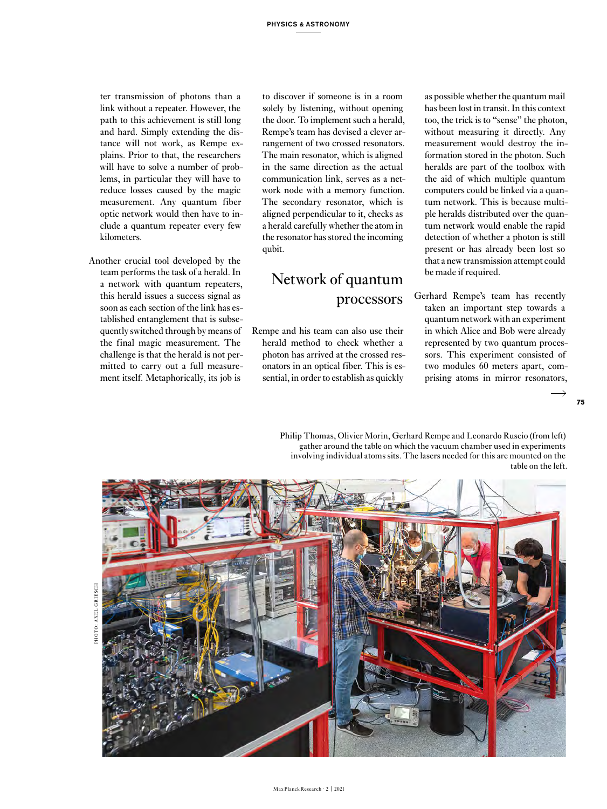ter transmission of photons than a link without a repeater. However, the path to this achievement is still long and hard. Simply extending the distance will not work, as Rempe explains. Prior to that, the researchers will have to solve a number of problems, in particular they will have to reduce losses caused by the magic measurement. Any quantum fiber optic network would then have to include a quantum repeater every few kilometers.

Another crucial tool developed by the team performs the task of a herald. In a network with quantum repeaters, this herald issues a success signal as soon as each section of the link has established entanglement that is subsequently switched through by means of the final magic measurement. The challenge is that the herald is not permitted to carry out a full measurement itself. Metaphorically, its job is

to discover if someone is in a room solely by listening, without opening the door. To implement such a herald, Rempe's team has devised a clever arrangement of two crossed resonators. The main resonator, which is aligned in the same direction as the actual communication link, serves as a network node with a memory function. The secondary resonator, which is aligned perpendicular to it, checks as a herald carefully whether the atom in the resonator has stored the incoming qubit.

# Network of quantum processors

Rempe and his team can also use their herald method to check whether a photon has arrived at the crossed resonators in an optical fiber. This is essential, in order to establish as quickly

as possible whether the quantum mail has been lost in transit. In this context too, the trick is to "sense" the photon, without measuring it directly. Any measurement would destroy the information stored in the photon. Such heralds are part of the toolbox with the aid of which multiple quantum computers could be linked via a quantum network. This is because multiple heralds distributed over the quantum network would enable the rapid detection of whether a photon is still present or has already been lost so that a new transmission attempt could be made if required.

Gerhard Rempe's team has recently taken an important step towards a quantum network with an experiment in which Alice and Bob were already represented by two quantum processors. This experiment consisted of two modules 60 meters apart, comprising atoms in mirror resonators,

Philip Thomas, Olivier Morin, Gerhard Rempe and Leonardo Ruscio (from left) gather around the table on which the vacuum chamber used in experiments involving individual atoms sits. The lasers needed for this are mounted on the table on the left.



PHOTO: AXEL GRIESCH HOTO: AVEI GRIESCH